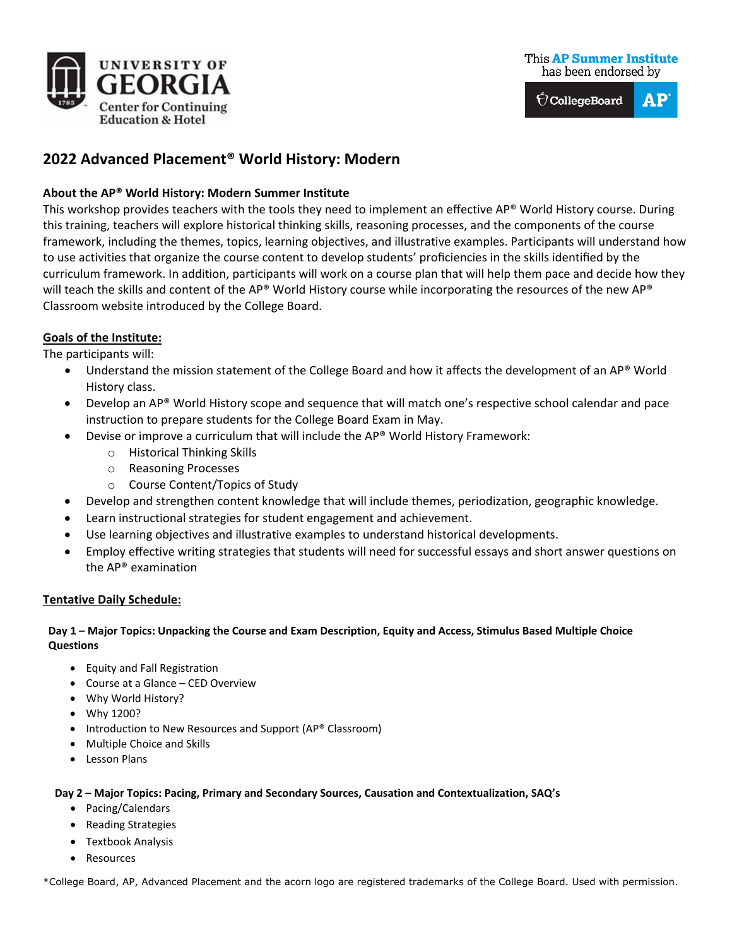

 $\hat{\nabla}$ CollegeBoard  $AP$ 

# **2022 Advanced Placement® World History: Modern**

# **About the AP® World History: Modern Summer Institute**

This workshop provides teachers with the tools they need to implement an effective AP® World History course. During this training, teachers will explore historical thinking skills, reasoning processes, and the components of the course framework, including the themes, topics, learning objectives, and illustrative examples. Participants will understand how to use activities that organize the course content to develop students' proficiencies in the skills identified by the curriculum framework. In addition, participants will work on a course plan that will help them pace and decide how they will teach the skills and content of the AP® World History course while incorporating the resources of the new AP® Classroom website introduced by the College Board.

# **Goals of the Institute:**

The participants will:

- Understand the mission statement of the College Board and how it affects the development of an AP® World History class.
- Develop an AP® World History scope and sequence that will match one's respective school calendar and pace instruction to prepare students for the College Board Exam in May.
- Devise or improve a curriculum that will include the AP® World History Framework:
	- o Historical Thinking Skills
	- o Reasoning Processes
	- o Course Content/Topics of Study
- Develop and strengthen content knowledge that will include themes, periodization, geographic knowledge.
- Learn instructional strategies for student engagement and achievement.
- Use learning objectives and illustrative examples to understand historical developments.
- Employ effective writing strategies that students will need for successful essays and short answer questions on the AP® examination

## **Tentative Daily Schedule:**

## **Day 1 – Major Topics: Unpacking the Course and Exam Description, Equity and Access, Stimulus Based Multiple Choice Questions**

- Equity and Fall Registration
- Course at a Glance CED Overview
- Why World History?
- Why 1200?
- Introduction to New Resources and Support (AP® Classroom)
- Multiple Choice and Skills
- Lesson Plans

#### **Day 2 – Major Topics: Pacing, Primary and Secondary Sources, Causation and Contextualization, SAQ's**

- Pacing/Calendars
- Reading Strategies
- Textbook Analysis
- Resources

\*College Board, AP, Advanced Placement and the acorn logo are registered trademarks of the College Board. Used with permission.